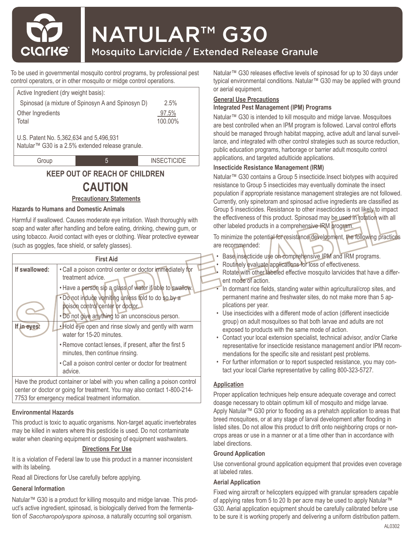

# NATULAR™ G30

## Mosquito Larvicide / Extended Release Granule

To be used in governmental mosquito control programs, by professional pest control operators, or in other mosquito or midge control operations.

| Active Ingredient (dry weight basis):                                                                   |                                                   |                    |  |
|---------------------------------------------------------------------------------------------------------|---------------------------------------------------|--------------------|--|
|                                                                                                         | Spinosad (a mixture of Spinosyn A and Spinosyn D) | 2.5%               |  |
| Other Ingredients                                                                                       |                                                   | 97.5%              |  |
| Total                                                                                                   |                                                   | 100.00%            |  |
| U.S. Patent No. 5,362,634 and 5,496,931<br>Natular <sup>™</sup> G30 is a 2.5% extended release granule. |                                                   |                    |  |
| Group                                                                                                   | 5                                                 | <b>INSECTICIDE</b> |  |
|                                                                                                         |                                                   |                    |  |

### **KEEP OUT OF REACH OF CHILDREN**

# **CAUTION**

#### **Precautionary Statements**

#### **Hazards to Humans and Domestic Animals**

Harmful if swallowed. Causes moderate eye irritation. Wash thoroughly with soap and water after handling and before eating, drinking, chewing gum, or using tobacco. Avoid contact with eyes or clothing. Wear protective eyewear (such as goggles, face shield, or safety glasses).

| <b>First Aid</b>                                                                                                                                                                                            |                                                                                                                                            |  |
|-------------------------------------------------------------------------------------------------------------------------------------------------------------------------------------------------------------|--------------------------------------------------------------------------------------------------------------------------------------------|--|
| If swallowed:                                                                                                                                                                                               | . Call a poison control center or doctor immediately for<br>treatment advice.<br>. Have a person sip a glass of water if able to swallow.  |  |
|                                                                                                                                                                                                             | . Do not induce vomiting unless told to do so by a<br>poison control center or doctor.<br>. Do not give anything to an unconscious person. |  |
| If in eyes:                                                                                                                                                                                                 | . Hold eye open and rinse slowly and gently with warm<br>water for 15-20 minutes.                                                          |  |
|                                                                                                                                                                                                             | . Remove contact lenses, if present, after the first 5<br>minutes, then continue rinsing.                                                  |  |
|                                                                                                                                                                                                             | . Call a poison control center or doctor for treatment<br>advice.                                                                          |  |
| Have the product container or label with you when calling a poison control<br>center or doctor or going for treatment. You may also contact 1-800-214-<br>7753 for emergency medical treatment information. |                                                                                                                                            |  |

#### **Environmental Hazards**

This product is toxic to aquatic organisms. Non-target aquatic invertebrates may be killed in waters where this pesticide is used. Do not contaminate water when cleaning equipment or disposing of equipment washwaters.

#### **Directions For Use**

It is a violation of Federal law to use this product in a manner inconsistent with its labeling.

Read all Directions for Use carefully before applying.

#### **General Information**

Natular™ G30 is a product for killing mosquito and midge larvae. This product's active ingredient, spinosad, is biologically derived from the fermentation of *Saccharopolyspora spinosa*, a naturally occurring soil organism.

Natular<sup>™</sup> G30 releases effective levels of spinosad for up to 30 days under typical environmental conditions. Natular™ G30 may be applied with ground or aerial equipment.

#### **General Use Precautions**

#### **Integrated Pest Management (IPM) Programs**

Natular<sup>™</sup> G30 is intended to kill mosquito and midge larvae. Mosquitoes are best controlled when an IPM program is followed. Larval control efforts should be managed through habitat mapping, active adult and larval surveillance, and integrated with other control strategies such as source reduction, public education programs, harborage or barrier adult mosquito control applications, and targeted adulticide applications.

#### **Insecticide Resistance Management (IRM)**

Natular<sup>™</sup> G30 contains a Group 5 insecticide.Insect biotypes with acquired resistance to Group 5 insecticides may eventually dominate the insect population if appropriate resistance management strategies are not followed. Currently, only spinetoram and spinosad active ingredients are classified as Group 5 insecticides. Resistance to other insecticides is not likely to impact the effectiveness of this product. Spinosad may be used in rotation with all other labeled products in a comprehensive IRM program.

To minimize the potential for resistance development, the following practices are recommended:

- Base insecticide use on comprehensive IPM and IRM programs.
- Routinely evaluate applications for loss of effectiveness.
- Rotate with other labeled effective mosquito larvicides that have a different mode of action.
- In dormant rice fields, standing water within agricultural/crop sites, and permanent marine and freshwater sites, do not make more than 5 applications per year.
- Use insecticides with a different mode of action (different insecticide group) on adult mosquitoes so that both larvae and adults are not exposed to products with the same mode of action.
- Contact your local extension specialist, technical advisor, and/or Clarke representative for insecticide resistance management and/or IPM recommendations for the specific site and resistant pest problems.
- For further information or to report suspected resistance, you may contact your local Clarke representative by calling 800-323-5727.

#### **Application**

Proper application techniques help ensure adequate coverage and correct doasge necessary to obtain optimum kill of mosquito and midge larvae. Apply Natular™ G30 prior to flooding as a prehatch application to areas that breed mosquitoes, or at any stage of larval development after flooding in listed sites. Do not allow this product to drift onto neighboring crops or noncrops areas or use in a manner or at a time other than in accordance with label directions.

#### **Ground Application**

Use conventional ground application equipment that provides even coverage at labeled rates.

#### **Aerial Application**

Fixed wing aircraft or helicopters equipped with granular spreaders capable of applying rates from 5 to 20 lb per acre may be used to apply Natular™ G30. Aerial application equipment should be carefully calibrated before use to be sure it is working properly and delivering a uniform distribution pattern.